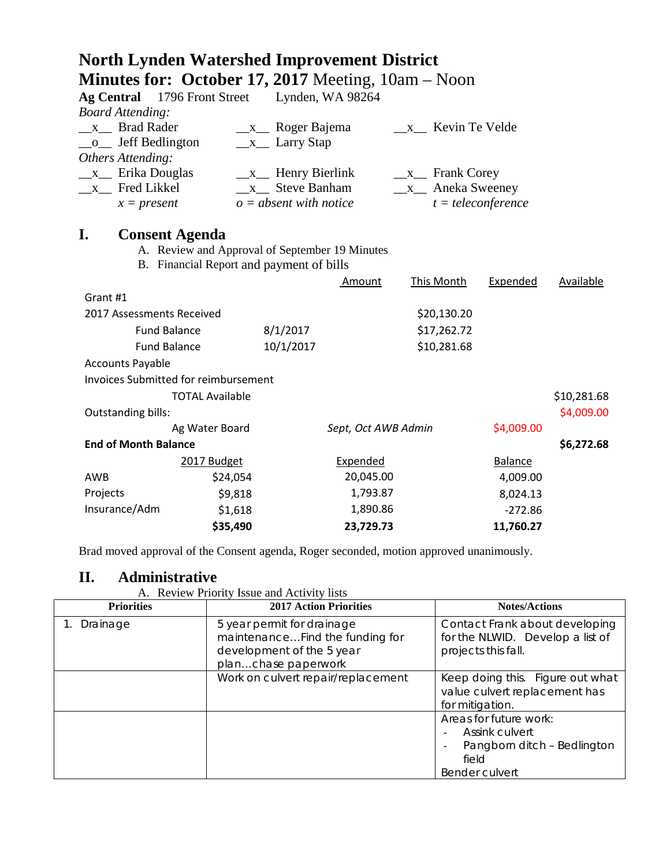| <b>North Lynden Watershed Improvement District</b>          |  |
|-------------------------------------------------------------|--|
| <b>Minutes for: October 17, 2017</b> Meeting, $10am - Noon$ |  |

| <b>Ag Central</b> 1796 Front Street<br><b>Board Attending:</b> |                                                |                                        | Lynden, WA 98264    |                                             |                      |             |
|----------------------------------------------------------------|------------------------------------------------|----------------------------------------|---------------------|---------------------------------------------|----------------------|-------------|
| x Brad Rader<br>Jeff Bedlington<br>$\mathbf{O}$                | $X_{-}$                                        | Roger Bajema<br>$\_\ x\_\_$ Larry Stap |                     | x Kevin Te Velde                            |                      |             |
| Others Attending:                                              |                                                |                                        |                     |                                             |                      |             |
| Erika Douglas<br>$\mathbf{X}$                                  |                                                | $\_\ x$ Henry Bierlink                 |                     | $\frac{\mathbf{x}}{\mathbf{y}}$ Frank Corey |                      |             |
| Fred Likkel<br>$X_{-}$                                         |                                                | x Steve Banham                         |                     | Aneka Sweeney<br>$\mathbf{X}$               |                      |             |
| $x = present$                                                  |                                                | $o = absent$ with notice               |                     |                                             | $t = teleconference$ |             |
| I.<br><b>Consent Agenda</b>                                    |                                                |                                        |                     |                                             |                      |             |
|                                                                | A. Review and Approval of September 19 Minutes |                                        |                     |                                             |                      |             |
| B. Financial Report and payment of bills                       |                                                |                                        |                     |                                             |                      |             |
|                                                                |                                                |                                        | Amount              | This Month                                  | Expended             | Available   |
| Grant #1                                                       |                                                |                                        |                     |                                             |                      |             |
| 2017 Assessments Received                                      |                                                |                                        |                     | \$20,130.20                                 |                      |             |
| <b>Fund Balance</b>                                            |                                                | 8/1/2017                               |                     | \$17,262.72                                 |                      |             |
| <b>Fund Balance</b>                                            |                                                | 10/1/2017                              |                     | \$10,281.68                                 |                      |             |
| <b>Accounts Payable</b>                                        |                                                |                                        |                     |                                             |                      |             |
| <b>Invoices Submitted for reimbursement</b>                    |                                                |                                        |                     |                                             |                      |             |
|                                                                | <b>TOTAL Available</b>                         |                                        |                     |                                             |                      | \$10,281.68 |
| Outstanding bills:                                             |                                                |                                        |                     |                                             |                      | \$4,009.00  |
|                                                                | Ag Water Board                                 |                                        | Sept, Oct AWB Admin |                                             | \$4,009.00           |             |
| <b>End of Month Balance</b>                                    |                                                |                                        |                     |                                             |                      | \$6,272.68  |
|                                                                | 2017 Budget                                    |                                        | Expended            |                                             | <b>Balance</b>       |             |
| AWB                                                            | \$24,054                                       |                                        | 20,045.00           |                                             | 4,009.00             |             |
| Projects                                                       | \$9,818                                        |                                        | 1,793.87            |                                             | 8,024.13             |             |
| Insurance/Adm                                                  | \$1,618                                        |                                        | 1,890.86            |                                             | $-272.86$            |             |
|                                                                | \$35,490                                       |                                        | 23,729.73           |                                             | 11,760.27            |             |

Brad moved approval of the Consent agenda, Roger seconded, motion approved unanimously.

# **II. Administrative**

A. Review Priority Issue and Activity lists

| <b>Priorities</b> | <b>2017 Action Priorities</b>                                                                                     | <b>Notes/Actions</b>                                                                                      |
|-------------------|-------------------------------------------------------------------------------------------------------------------|-----------------------------------------------------------------------------------------------------------|
| Drainage          | 5 year permit for drainage<br>maintenanceFind the funding for<br>development of the 5 year<br>planchase paperwork | Contact Frank about developing<br>for the NLWID. Develop a list of<br>projects this fall.                 |
|                   | Work on culvert repair/replacement                                                                                | Keep doing this. Figure out what<br>value culvert replacement has<br>for mitigation.                      |
|                   |                                                                                                                   | Areas for future work:<br><b>Assink culvert</b><br>Pangborn ditch - Bedlington<br>field<br>Bender culvert |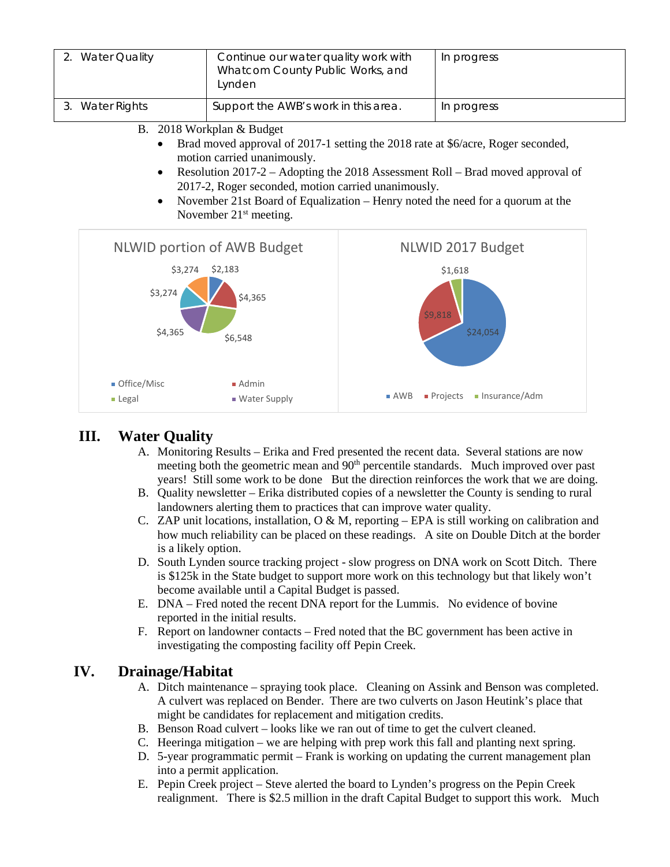

## **III. Water Quality**

- A. Monitoring Results Erika and Fred presented the recent data. Several stations are now meeting both the geometric mean and 90<sup>th</sup> percentile standards. Much improved over past years! Still some work to be done But the direction reinforces the work that we are doing.
- B. Quality newsletter Erika distributed copies of a newsletter the County is sending to rural landowners alerting them to practices that can improve water quality.
- C. ZAP unit locations, installation,  $O \& M$ , reporting EPA is still working on calibration and how much reliability can be placed on these readings. A site on Double Ditch at the border is a likely option.
- D. South Lynden source tracking project slow progress on DNA work on Scott Ditch. There is \$125k in the State budget to support more work on this technology but that likely won't become available until a Capital Budget is passed.
- E. DNA Fred noted the recent DNA report for the Lummis. No evidence of bovine reported in the initial results.
- F. Report on landowner contacts Fred noted that the BC government has been active in investigating the composting facility off Pepin Creek.

### **IV. Drainage/Habitat**

- A. Ditch maintenance spraying took place. Cleaning on Assink and Benson was completed. A culvert was replaced on Bender. There are two culverts on Jason Heutink's place that might be candidates for replacement and mitigation credits.
- B. Benson Road culvert looks like we ran out of time to get the culvert cleaned.
- C. Heeringa mitigation we are helping with prep work this fall and planting next spring.
- D. 5-year programmatic permit Frank is working on updating the current management plan into a permit application.
- E. Pepin Creek project Steve alerted the board to Lynden's progress on the Pepin Creek realignment. There is \$2.5 million in the draft Capital Budget to support this work. Much